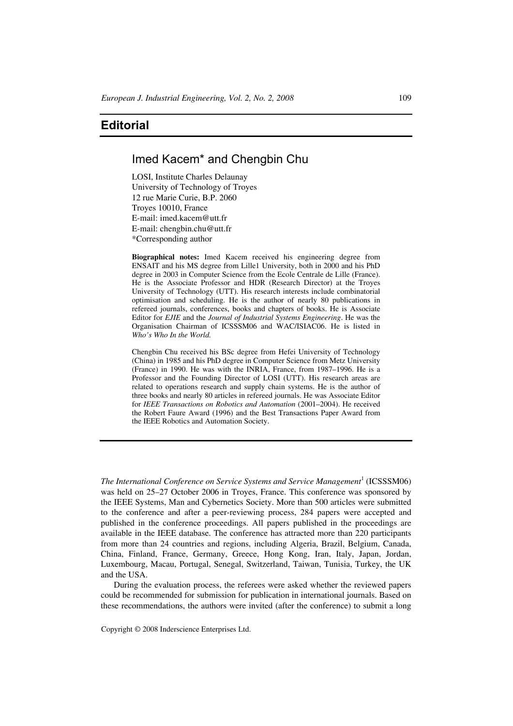# **Editorial**

## Imed Kacem\* and Chengbin Chu

LOSI, Institute Charles Delaunay University of Technology of Troyes 12 rue Marie Curie, B.P. 2060 Troyes 10010, France E-mail: imed.kacem@utt.fr E-mail: chengbin.chu@utt.fr \*Corresponding author

**Biographical notes:** Imed Kacem received his engineering degree from ENSAIT and his MS degree from Lille1 University, both in 2000 and his PhD degree in 2003 in Computer Science from the Ecole Centrale de Lille (France). He is the Associate Professor and HDR (Research Director) at the Troyes University of Technology (UTT). His research interests include combinatorial optimisation and scheduling. He is the author of nearly 80 publications in refereed journals, conferences, books and chapters of books. He is Associate Editor for *EJIE* and the *Journal of Industrial Systems Engineering*. He was the Organisation Chairman of ICSSSM06 and WAC/ISIAC06. He is listed in *Who's Who In the World.*

Chengbin Chu received his BSc degree from Hefei University of Technology (China) in 1985 and his PhD degree in Computer Science from Metz University (France) in 1990. He was with the INRIA, France, from 1987–1996. He is a Professor and the Founding Director of LOSI (UTT). His research areas are related to operations research and supply chain systems. He is the author of three books and nearly 80 articles in refereed journals. He was Associate Editor for *IEEE Transactions on Robotics and Automation* (2001–2004). He received the Robert Faure Award (1996) and the Best Transactions Paper Award from the IEEE Robotics and Automation Society.

The International Conference on Service Systems and Service Management<sup>1</sup> (ICSSSM06) was held on 25–27 October 2006 in Troyes, France. This conference was sponsored by the IEEE Systems, Man and Cybernetics Society. More than 500 articles were submitted to the conference and after a peer-reviewing process, 284 papers were accepted and published in the conference proceedings. All papers published in the proceedings are available in the IEEE database. The conference has attracted more than 220 participants from more than 24 countries and regions, including Algeria, Brazil, Belgium, Canada, China, Finland, France, Germany, Greece, Hong Kong, Iran, Italy, Japan, Jordan, Luxembourg, Macau, Portugal, Senegal, Switzerland, Taiwan, Tunisia, Turkey, the UK and the USA.

During the evaluation process, the referees were asked whether the reviewed papers could be recommended for submission for publication in international journals. Based on these recommendations, the authors were invited (after the conference) to submit a long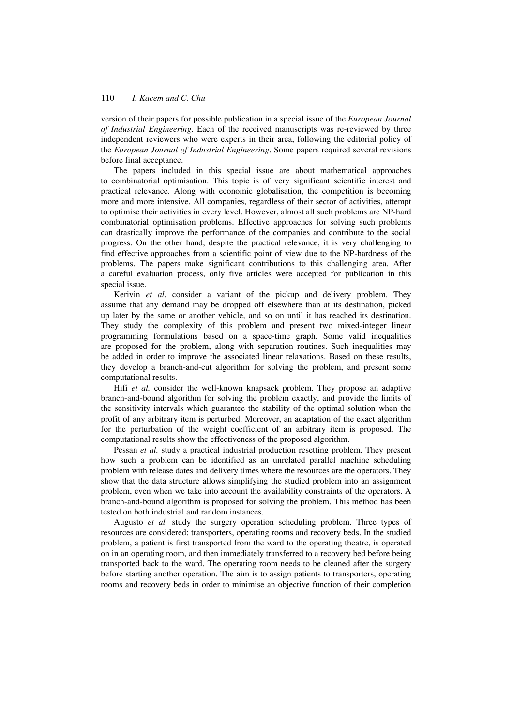### 110 *I. Kacem and C. Chu*

version of their papers for possible publication in a special issue of the *European Journal of Industrial Engineering*. Each of the received manuscripts was re-reviewed by three independent reviewers who were experts in their area, following the editorial policy of the *European Journal of Industrial Engineering*. Some papers required several revisions before final acceptance.

The papers included in this special issue are about mathematical approaches to combinatorial optimisation. This topic is of very significant scientific interest and practical relevance. Along with economic globalisation, the competition is becoming more and more intensive. All companies, regardless of their sector of activities, attempt to optimise their activities in every level. However, almost all such problems are NP-hard combinatorial optimisation problems. Effective approaches for solving such problems can drastically improve the performance of the companies and contribute to the social progress. On the other hand, despite the practical relevance, it is very challenging to find effective approaches from a scientific point of view due to the NP-hardness of the problems. The papers make significant contributions to this challenging area. After a careful evaluation process, only five articles were accepted for publication in this special issue.

Kerivin *et al.* consider a variant of the pickup and delivery problem. They assume that any demand may be dropped off elsewhere than at its destination, picked up later by the same or another vehicle, and so on until it has reached its destination. They study the complexity of this problem and present two mixed-integer linear programming formulations based on a space-time graph. Some valid inequalities are proposed for the problem, along with separation routines. Such inequalities may be added in order to improve the associated linear relaxations. Based on these results, they develop a branch-and-cut algorithm for solving the problem, and present some computational results.

Hifi *et al.* consider the well-known knapsack problem. They propose an adaptive branch-and-bound algorithm for solving the problem exactly, and provide the limits of the sensitivity intervals which guarantee the stability of the optimal solution when the profit of any arbitrary item is perturbed. Moreover, an adaptation of the exact algorithm for the perturbation of the weight coefficient of an arbitrary item is proposed. The computational results show the effectiveness of the proposed algorithm.

Pessan *et al.* study a practical industrial production resetting problem. They present how such a problem can be identified as an unrelated parallel machine scheduling problem with release dates and delivery times where the resources are the operators. They show that the data structure allows simplifying the studied problem into an assignment problem, even when we take into account the availability constraints of the operators. A branch-and-bound algorithm is proposed for solving the problem. This method has been tested on both industrial and random instances.

Augusto *et al.* study the surgery operation scheduling problem. Three types of resources are considered: transporters, operating rooms and recovery beds. In the studied problem, a patient is first transported from the ward to the operating theatre, is operated on in an operating room, and then immediately transferred to a recovery bed before being transported back to the ward. The operating room needs to be cleaned after the surgery before starting another operation. The aim is to assign patients to transporters, operating rooms and recovery beds in order to minimise an objective function of their completion